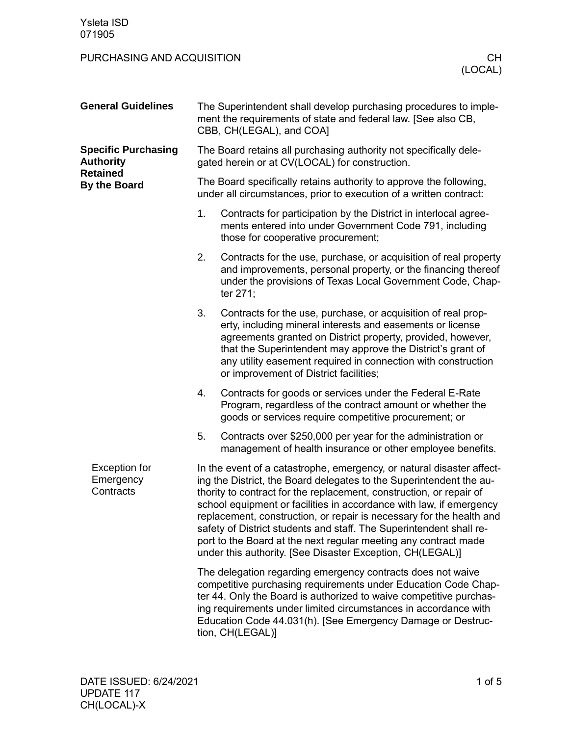## PURCHASING AND ACQUISITION **CHILICAL CHILICAL CHILICAL CHILICAL**

| <b>General Guidelines</b>                                                                | The Superintendent shall develop purchasing procedures to imple-<br>ment the requirements of state and federal law. [See also CB,<br>CBB, CH(LEGAL), and COA]                                                                                                                                                                                                                                                                                                                                                                                                             |  |  |
|------------------------------------------------------------------------------------------|---------------------------------------------------------------------------------------------------------------------------------------------------------------------------------------------------------------------------------------------------------------------------------------------------------------------------------------------------------------------------------------------------------------------------------------------------------------------------------------------------------------------------------------------------------------------------|--|--|
| <b>Specific Purchasing</b><br><b>Authority</b><br><b>Retained</b><br><b>By the Board</b> | The Board retains all purchasing authority not specifically dele-<br>gated herein or at CV(LOCAL) for construction.                                                                                                                                                                                                                                                                                                                                                                                                                                                       |  |  |
|                                                                                          | The Board specifically retains authority to approve the following,<br>under all circumstances, prior to execution of a written contract:                                                                                                                                                                                                                                                                                                                                                                                                                                  |  |  |
|                                                                                          | 1.<br>Contracts for participation by the District in interlocal agree-<br>ments entered into under Government Code 791, including<br>those for cooperative procurement;                                                                                                                                                                                                                                                                                                                                                                                                   |  |  |
|                                                                                          | 2.<br>Contracts for the use, purchase, or acquisition of real property<br>and improvements, personal property, or the financing thereof<br>under the provisions of Texas Local Government Code, Chap-<br>ter 271;                                                                                                                                                                                                                                                                                                                                                         |  |  |
|                                                                                          | 3.<br>Contracts for the use, purchase, or acquisition of real prop-<br>erty, including mineral interests and easements or license<br>agreements granted on District property, provided, however,<br>that the Superintendent may approve the District's grant of<br>any utility easement required in connection with construction<br>or improvement of District facilities;                                                                                                                                                                                                |  |  |
|                                                                                          | 4.<br>Contracts for goods or services under the Federal E-Rate<br>Program, regardless of the contract amount or whether the<br>goods or services require competitive procurement; or                                                                                                                                                                                                                                                                                                                                                                                      |  |  |
|                                                                                          | 5.<br>Contracts over \$250,000 per year for the administration or<br>management of health insurance or other employee benefits.                                                                                                                                                                                                                                                                                                                                                                                                                                           |  |  |
| <b>Exception for</b><br>Emergency<br>Contracts                                           | In the event of a catastrophe, emergency, or natural disaster affect-<br>ing the District, the Board delegates to the Superintendent the au-<br>thority to contract for the replacement, construction, or repair of<br>school equipment or facilities in accordance with law, if emergency<br>replacement, construction, or repair is necessary for the health and<br>safety of District students and staff. The Superintendent shall re-<br>port to the Board at the next regular meeting any contract made<br>under this authority. [See Disaster Exception, CH(LEGAL)] |  |  |
|                                                                                          | The delegation regarding emergency contracts does not waive<br>competitive purchasing requirements under Education Code Chap-<br>ter 44. Only the Board is authorized to waive competitive purchas-<br>ing requirements under limited circumstances in accordance with<br>Education Code 44.031(h). [See Emergency Damage or Destruc-<br>tion, CH(LEGAL)]                                                                                                                                                                                                                 |  |  |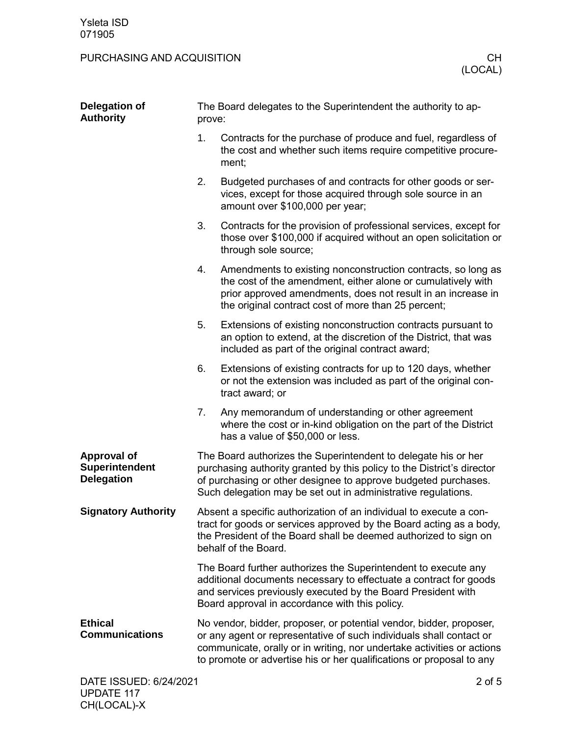## PURCHASING AND ACQUISITION **CHILICAL CHILICAL CHILICAL CHILICAL**

| Delegation of<br><b>Authority</b>                                | The Board delegates to the Superintendent the authority to ap-<br>prove:                                                                                                                                                                                                    |                                                                                                                                                                                                                                                                                              |  |
|------------------------------------------------------------------|-----------------------------------------------------------------------------------------------------------------------------------------------------------------------------------------------------------------------------------------------------------------------------|----------------------------------------------------------------------------------------------------------------------------------------------------------------------------------------------------------------------------------------------------------------------------------------------|--|
|                                                                  | 1.                                                                                                                                                                                                                                                                          | Contracts for the purchase of produce and fuel, regardless of<br>the cost and whether such items require competitive procure-<br>ment;                                                                                                                                                       |  |
|                                                                  | 2.                                                                                                                                                                                                                                                                          | Budgeted purchases of and contracts for other goods or ser-<br>vices, except for those acquired through sole source in an<br>amount over \$100,000 per year;                                                                                                                                 |  |
|                                                                  | 3.                                                                                                                                                                                                                                                                          | Contracts for the provision of professional services, except for<br>those over \$100,000 if acquired without an open solicitation or<br>through sole source;                                                                                                                                 |  |
|                                                                  | 4.                                                                                                                                                                                                                                                                          | Amendments to existing nonconstruction contracts, so long as<br>the cost of the amendment, either alone or cumulatively with<br>prior approved amendments, does not result in an increase in<br>the original contract cost of more than 25 percent;                                          |  |
|                                                                  | 5.                                                                                                                                                                                                                                                                          | Extensions of existing nonconstruction contracts pursuant to<br>an option to extend, at the discretion of the District, that was<br>included as part of the original contract award;                                                                                                         |  |
|                                                                  | 6.                                                                                                                                                                                                                                                                          | Extensions of existing contracts for up to 120 days, whether<br>or not the extension was included as part of the original con-<br>tract award; or                                                                                                                                            |  |
|                                                                  | 7.                                                                                                                                                                                                                                                                          | Any memorandum of understanding or other agreement<br>where the cost or in-kind obligation on the part of the District<br>has a value of \$50,000 or less.                                                                                                                                   |  |
| <b>Approval of</b><br><b>Superintendent</b><br><b>Delegation</b> | The Board authorizes the Superintendent to delegate his or her<br>purchasing authority granted by this policy to the District's director<br>of purchasing or other designee to approve budgeted purchases.<br>Such delegation may be set out in administrative regulations. |                                                                                                                                                                                                                                                                                              |  |
| <b>Signatory Authority</b>                                       |                                                                                                                                                                                                                                                                             | Absent a specific authorization of an individual to execute a con-<br>tract for goods or services approved by the Board acting as a body,<br>the President of the Board shall be deemed authorized to sign on<br>behalf of the Board.                                                        |  |
|                                                                  |                                                                                                                                                                                                                                                                             | The Board further authorizes the Superintendent to execute any<br>additional documents necessary to effectuate a contract for goods<br>and services previously executed by the Board President with<br>Board approval in accordance with this policy.                                        |  |
| <b>Ethical</b><br><b>Communications</b>                          |                                                                                                                                                                                                                                                                             | No vendor, bidder, proposer, or potential vendor, bidder, proposer,<br>or any agent or representative of such individuals shall contact or<br>communicate, orally or in writing, nor undertake activities or actions<br>to promote or advertise his or her qualifications or proposal to any |  |
| DATE ISSUED: 6/24/2021                                           |                                                                                                                                                                                                                                                                             | $2$ of $5$                                                                                                                                                                                                                                                                                   |  |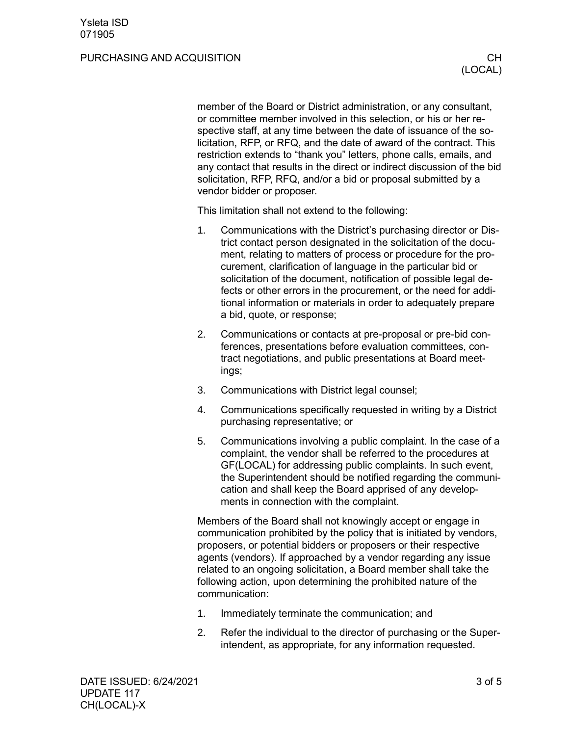#### PURCHASING AND ACQUISITION **CHILIC CHILIC CHILIC CHILIC CHILIC CHILIC CHILIC CHILIC CHILIC CHILIC CHILIC CHILIC CH**

member of the Board or District administration, or any consultant, or committee member involved in this selection, or his or her respective staff, at any time between the date of issuance of the solicitation, RFP, or RFQ, and the date of award of the contract. This restriction extends to "thank you" letters, phone calls, emails, and any contact that results in the direct or indirect discussion of the bid solicitation, RFP, RFQ, and/or a bid or proposal submitted by a vendor bidder or proposer.

This limitation shall not extend to the following:

- 1. Communications with the District's purchasing director or District contact person designated in the solicitation of the document, relating to matters of process or procedure for the procurement, clarification of language in the particular bid or solicitation of the document, notification of possible legal defects or other errors in the procurement, or the need for additional information or materials in order to adequately prepare a bid, quote, or response;
- 2. Communications or contacts at pre-proposal or pre-bid conferences, presentations before evaluation committees, contract negotiations, and public presentations at Board meetings;
- 3. Communications with District legal counsel;
- 4. Communications specifically requested in writing by a District purchasing representative; or
- 5. Communications involving a public complaint. In the case of a complaint, the vendor shall be referred to the procedures at GF(LOCAL) for addressing public complaints. In such event, the Superintendent should be notified regarding the communication and shall keep the Board apprised of any developments in connection with the complaint.

Members of the Board shall not knowingly accept or engage in communication prohibited by the policy that is initiated by vendors, proposers, or potential bidders or proposers or their respective agents (vendors). If approached by a vendor regarding any issue related to an ongoing solicitation, a Board member shall take the following action, upon determining the prohibited nature of the communication:

- 1. Immediately terminate the communication; and
- 2. Refer the individual to the director of purchasing or the Superintendent, as appropriate, for any information requested.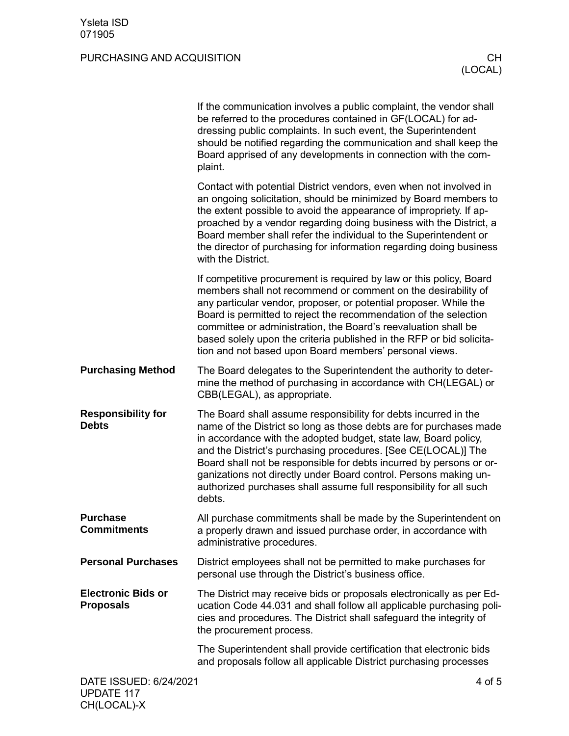# PURCHASING AND ACQUISITION **CHILICAL CHILICAL CHILICAL CHILICAL**

|                                               | If the communication involves a public complaint, the vendor shall<br>be referred to the procedures contained in GF(LOCAL) for ad-<br>dressing public complaints. In such event, the Superintendent<br>should be notified regarding the communication and shall keep the<br>Board apprised of any developments in connection with the com-<br>plaint.                                                                                                                                                |
|-----------------------------------------------|------------------------------------------------------------------------------------------------------------------------------------------------------------------------------------------------------------------------------------------------------------------------------------------------------------------------------------------------------------------------------------------------------------------------------------------------------------------------------------------------------|
|                                               | Contact with potential District vendors, even when not involved in<br>an ongoing solicitation, should be minimized by Board members to<br>the extent possible to avoid the appearance of impropriety. If ap-<br>proached by a vendor regarding doing business with the District, a<br>Board member shall refer the individual to the Superintendent or<br>the director of purchasing for information regarding doing business<br>with the District.                                                  |
|                                               | If competitive procurement is required by law or this policy, Board<br>members shall not recommend or comment on the desirability of<br>any particular vendor, proposer, or potential proposer. While the<br>Board is permitted to reject the recommendation of the selection<br>committee or administration, the Board's reevaluation shall be<br>based solely upon the criteria published in the RFP or bid solicita-<br>tion and not based upon Board members' personal views.                    |
| <b>Purchasing Method</b>                      | The Board delegates to the Superintendent the authority to deter-<br>mine the method of purchasing in accordance with CH(LEGAL) or<br>CBB(LEGAL), as appropriate.                                                                                                                                                                                                                                                                                                                                    |
| <b>Responsibility for</b><br><b>Debts</b>     | The Board shall assume responsibility for debts incurred in the<br>name of the District so long as those debts are for purchases made<br>in accordance with the adopted budget, state law, Board policy,<br>and the District's purchasing procedures. [See CE(LOCAL)] The<br>Board shall not be responsible for debts incurred by persons or or-<br>ganizations not directly under Board control. Persons making un-<br>authorized purchases shall assume full responsibility for all such<br>debts. |
| <b>Purchase</b><br><b>Commitments</b>         | All purchase commitments shall be made by the Superintendent on<br>a properly drawn and issued purchase order, in accordance with<br>administrative procedures.                                                                                                                                                                                                                                                                                                                                      |
| <b>Personal Purchases</b>                     | District employees shall not be permitted to make purchases for<br>personal use through the District's business office.                                                                                                                                                                                                                                                                                                                                                                              |
| <b>Electronic Bids or</b><br><b>Proposals</b> | The District may receive bids or proposals electronically as per Ed-<br>ucation Code 44.031 and shall follow all applicable purchasing poli-<br>cies and procedures. The District shall safeguard the integrity of<br>the procurement process.                                                                                                                                                                                                                                                       |
|                                               | The Superintendent shall provide certification that electronic bids<br>and proposals follow all applicable District purchasing processes                                                                                                                                                                                                                                                                                                                                                             |
| DATE ISSUED: 6/24/2021                        | 4 of 5                                                                                                                                                                                                                                                                                                                                                                                                                                                                                               |